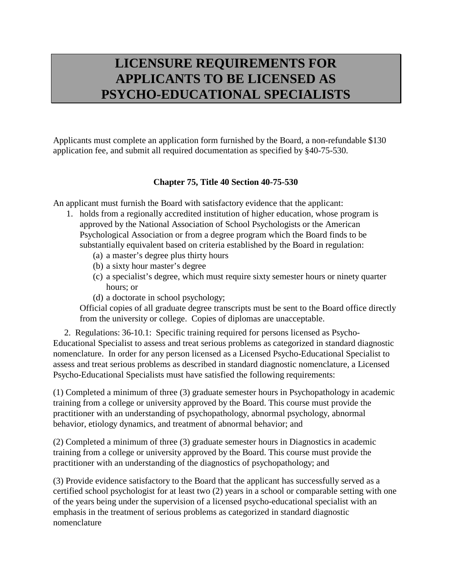## **LICENSURE REQUIREMENTS FOR APPLICANTS TO BE LICENSED AS PSYCHO-EDUCATIONAL SPECIALISTS**

Applicants must complete an application form furnished by the Board, a non-refundable \$130 application fee, and submit all required documentation as specified by §40-75-530.

## **Chapter 75, Title 40 Section 40-75-530**

An applicant must furnish the Board with satisfactory evidence that the applicant:

- 1. holds from a regionally accredited institution of higher education, whose program is approved by the National Association of School Psychologists or the American Psychological Association or from a degree program which the Board finds to be substantially equivalent based on criteria established by the Board in regulation:
	- (a) a master's degree plus thirty hours
	- (b) a sixty hour master's degree
	- (c) a specialist's degree, which must require sixty semester hours or ninety quarter hours; or
	- (d) a doctorate in school psychology;

Official copies of all graduate degree transcripts must be sent to the Board office directly from the university or college. Copies of diplomas are unacceptable.

2. Regulations: 36-10.1: Specific training required for persons licensed as Psycho-Educational Specialist to assess and treat serious problems as categorized in standard diagnostic nomenclature. In order for any person licensed as a Licensed Psycho-Educational Specialist to assess and treat serious problems as described in standard diagnostic nomenclature, a Licensed Psycho-Educational Specialists must have satisfied the following requirements:

(1) Completed a minimum of three (3) graduate semester hours in Psychopathology in academic training from a college or university approved by the Board. This course must provide the practitioner with an understanding of psychopathology, abnormal psychology, abnormal behavior, etiology dynamics, and treatment of abnormal behavior; and

(2) Completed a minimum of three (3) graduate semester hours in Diagnostics in academic training from a college or university approved by the Board. This course must provide the practitioner with an understanding of the diagnostics of psychopathology; and

(3) Provide evidence satisfactory to the Board that the applicant has successfully served as a certified school psychologist for at least two (2) years in a school or comparable setting with one of the years being under the supervision of a licensed psycho-educational specialist with an emphasis in the treatment of serious problems as categorized in standard diagnostic nomenclature